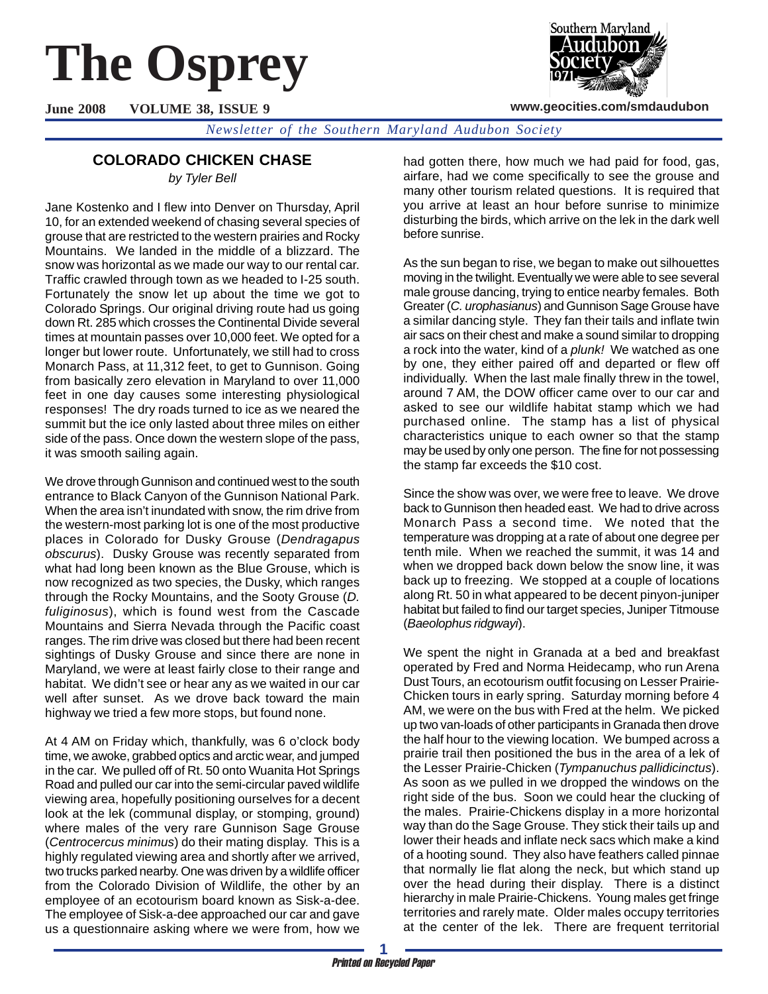# **The Osprey**

**June 2008 VOLUME 38, ISSUE 9**

Southern Maryland

**www.geocities.com/smdaudubon**

*Newsletter of the Southern Maryland Audubon Society*

# **COLORADO CHICKEN CHASE**

*by Tyler Bell*

Jane Kostenko and I flew into Denver on Thursday, April 10, for an extended weekend of chasing several species of grouse that are restricted to the western prairies and Rocky Mountains. We landed in the middle of a blizzard. The snow was horizontal as we made our way to our rental car. Traffic crawled through town as we headed to I-25 south. Fortunately the snow let up about the time we got to Colorado Springs. Our original driving route had us going down Rt. 285 which crosses the Continental Divide several times at mountain passes over 10,000 feet. We opted for a longer but lower route. Unfortunately, we still had to cross Monarch Pass, at 11,312 feet, to get to Gunnison. Going from basically zero elevation in Maryland to over 11,000 feet in one day causes some interesting physiological responses! The dry roads turned to ice as we neared the summit but the ice only lasted about three miles on either side of the pass. Once down the western slope of the pass, it was smooth sailing again.

We drove through Gunnison and continued west to the south entrance to Black Canyon of the Gunnison National Park. When the area isn't inundated with snow, the rim drive from the western-most parking lot is one of the most productive places in Colorado for Dusky Grouse (*Dendragapus obscurus*). Dusky Grouse was recently separated from what had long been known as the Blue Grouse, which is now recognized as two species, the Dusky, which ranges through the Rocky Mountains, and the Sooty Grouse (*D. fuliginosus*), which is found west from the Cascade Mountains and Sierra Nevada through the Pacific coast ranges. The rim drive was closed but there had been recent sightings of Dusky Grouse and since there are none in Maryland, we were at least fairly close to their range and habitat. We didn't see or hear any as we waited in our car well after sunset. As we drove back toward the main highway we tried a few more stops, but found none.

At 4 AM on Friday which, thankfully, was 6 o'clock body time, we awoke, grabbed optics and arctic wear, and jumped in the car. We pulled off of Rt. 50 onto Wuanita Hot Springs Road and pulled our car into the semi-circular paved wildlife viewing area, hopefully positioning ourselves for a decent look at the lek (communal display, or stomping, ground) where males of the very rare Gunnison Sage Grouse (*Centrocercus minimus*) do their mating display. This is a highly regulated viewing area and shortly after we arrived, two trucks parked nearby. One was driven by a wildlife officer from the Colorado Division of Wildlife, the other by an employee of an ecotourism board known as Sisk-a-dee. The employee of Sisk-a-dee approached our car and gave us a questionnaire asking where we were from, how we

had gotten there, how much we had paid for food, gas, airfare, had we come specifically to see the grouse and many other tourism related questions. It is required that you arrive at least an hour before sunrise to minimize disturbing the birds, which arrive on the lek in the dark well before sunrise.

As the sun began to rise, we began to make out silhouettes moving in the twilight. Eventually we were able to see several male grouse dancing, trying to entice nearby females. Both Greater (*C. urophasianus*) and Gunnison Sage Grouse have a similar dancing style. They fan their tails and inflate twin air sacs on their chest and make a sound similar to dropping a rock into the water, kind of a *plunk!* We watched as one by one, they either paired off and departed or flew off individually. When the last male finally threw in the towel, around 7 AM, the DOW officer came over to our car and asked to see our wildlife habitat stamp which we had purchased online. The stamp has a list of physical characteristics unique to each owner so that the stamp may be used by only one person. The fine for not possessing the stamp far exceeds the \$10 cost.

Since the show was over, we were free to leave. We drove back to Gunnison then headed east. We had to drive across Monarch Pass a second time. We noted that the temperature was dropping at a rate of about one degree per tenth mile. When we reached the summit, it was 14 and when we dropped back down below the snow line, it was back up to freezing. We stopped at a couple of locations along Rt. 50 in what appeared to be decent pinyon-juniper habitat but failed to find our target species, Juniper Titmouse (*Baeolophus ridgwayi*).

We spent the night in Granada at a bed and breakfast operated by Fred and Norma Heidecamp, who run Arena Dust Tours, an ecotourism outfit focusing on Lesser Prairie-Chicken tours in early spring. Saturday morning before 4 AM, we were on the bus with Fred at the helm. We picked up two van-loads of other participants in Granada then drove the half hour to the viewing location. We bumped across a prairie trail then positioned the bus in the area of a lek of the Lesser Prairie-Chicken (*Tympanuchus pallidicinctus*). As soon as we pulled in we dropped the windows on the right side of the bus. Soon we could hear the clucking of the males. Prairie-Chickens display in a more horizontal way than do the Sage Grouse. They stick their tails up and lower their heads and inflate neck sacs which make a kind of a hooting sound. They also have feathers called pinnae that normally lie flat along the neck, but which stand up over the head during their display. There is a distinct hierarchy in male Prairie-Chickens. Young males get fringe territories and rarely mate. Older males occupy territories at the center of the lek. There are frequent territorial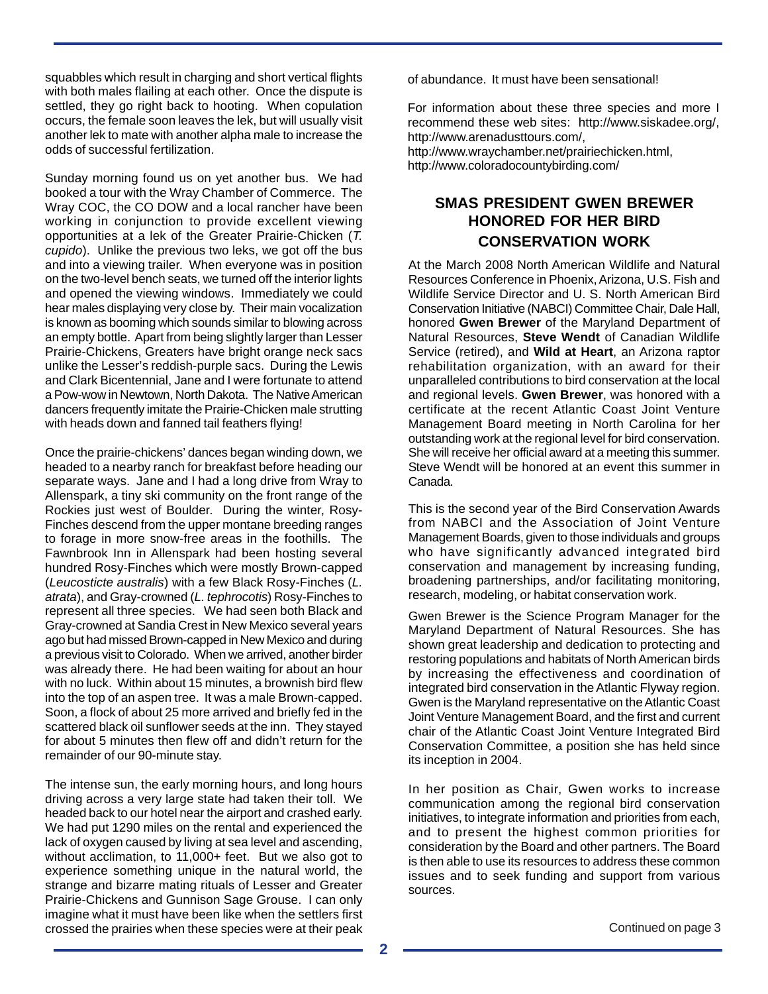squabbles which result in charging and short vertical flights with both males flailing at each other. Once the dispute is settled, they go right back to hooting. When copulation occurs, the female soon leaves the lek, but will usually visit another lek to mate with another alpha male to increase the odds of successful fertilization.

Sunday morning found us on yet another bus. We had booked a tour with the Wray Chamber of Commerce. The Wray COC, the CO DOW and a local rancher have been working in conjunction to provide excellent viewing opportunities at a lek of the Greater Prairie-Chicken (*T. cupido*). Unlike the previous two leks, we got off the bus and into a viewing trailer. When everyone was in position on the two-level bench seats, we turned off the interior lights and opened the viewing windows. Immediately we could hear males displaying very close by. Their main vocalization is known as booming which sounds similar to blowing across an empty bottle. Apart from being slightly larger than Lesser Prairie-Chickens, Greaters have bright orange neck sacs unlike the Lesser's reddish-purple sacs. During the Lewis and Clark Bicentennial, Jane and I were fortunate to attend a Pow-wow in Newtown, North Dakota. The Native American dancers frequently imitate the Prairie-Chicken male strutting with heads down and fanned tail feathers flying!

Once the prairie-chickens' dances began winding down, we headed to a nearby ranch for breakfast before heading our separate ways. Jane and I had a long drive from Wray to Allenspark, a tiny ski community on the front range of the Rockies just west of Boulder. During the winter, Rosy-Finches descend from the upper montane breeding ranges to forage in more snow-free areas in the foothills. The Fawnbrook Inn in Allenspark had been hosting several hundred Rosy-Finches which were mostly Brown-capped (*Leucosticte australis*) with a few Black Rosy-Finches (*L. atrata*), and Gray-crowned (*L. tephrocotis*) Rosy-Finches to represent all three species. We had seen both Black and Gray-crowned at Sandia Crest in New Mexico several years ago but had missed Brown-capped in New Mexico and during a previous visit to Colorado. When we arrived, another birder was already there. He had been waiting for about an hour with no luck. Within about 15 minutes, a brownish bird flew into the top of an aspen tree. It was a male Brown-capped. Soon, a flock of about 25 more arrived and briefly fed in the scattered black oil sunflower seeds at the inn. They stayed for about 5 minutes then flew off and didn't return for the remainder of our 90-minute stay.

The intense sun, the early morning hours, and long hours driving across a very large state had taken their toll. We headed back to our hotel near the airport and crashed early. We had put 1290 miles on the rental and experienced the lack of oxygen caused by living at sea level and ascending, without acclimation, to 11,000+ feet. But we also got to experience something unique in the natural world, the strange and bizarre mating rituals of Lesser and Greater Prairie-Chickens and Gunnison Sage Grouse. I can only imagine what it must have been like when the settlers first crossed the prairies when these species were at their peak of abundance. It must have been sensational!

For information about these three species and more I recommend these web sites: http://www.siskadee.org/, http://www.arenadusttours.com/,

http://www.wraychamber.net/prairiechicken.html, http://www.coloradocountybirding.com/

# **SMAS PRESIDENT GWEN BREWER HONORED FOR HER BIRD CONSERVATION WORK**

At the March 2008 North American Wildlife and Natural Resources Conference in Phoenix, Arizona, U.S. Fish and Wildlife Service Director and U. S. North American Bird Conservation Initiative (NABCI) Committee Chair, Dale Hall, honored **Gwen Brewer** of the Maryland Department of Natural Resources, **Steve Wendt** of Canadian Wildlife Service (retired), and **Wild at Heart**, an Arizona raptor rehabilitation organization, with an award for their unparalleled contributions to bird conservation at the local and regional levels. **Gwen Brewer**, was honored with a certificate at the recent Atlantic Coast Joint Venture Management Board meeting in North Carolina for her outstanding work at the regional level for bird conservation. She will receive her official award at a meeting this summer. Steve Wendt will be honored at an event this summer in Canada.

This is the second year of the Bird Conservation Awards from NABCI and the Association of Joint Venture Management Boards, given to those individuals and groups who have significantly advanced integrated bird conservation and management by increasing funding, broadening partnerships, and/or facilitating monitoring, research, modeling, or habitat conservation work.

Gwen Brewer is the Science Program Manager for the Maryland Department of Natural Resources. She has shown great leadership and dedication to protecting and restoring populations and habitats of North American birds by increasing the effectiveness and coordination of integrated bird conservation in the Atlantic Flyway region. Gwen is the Maryland representative on the Atlantic Coast Joint Venture Management Board, and the first and current chair of the Atlantic Coast Joint Venture Integrated Bird Conservation Committee, a position she has held since its inception in 2004.

In her position as Chair, Gwen works to increase communication among the regional bird conservation initiatives, to integrate information and priorities from each, and to present the highest common priorities for consideration by the Board and other partners. The Board is then able to use its resources to address these common issues and to seek funding and support from various sources.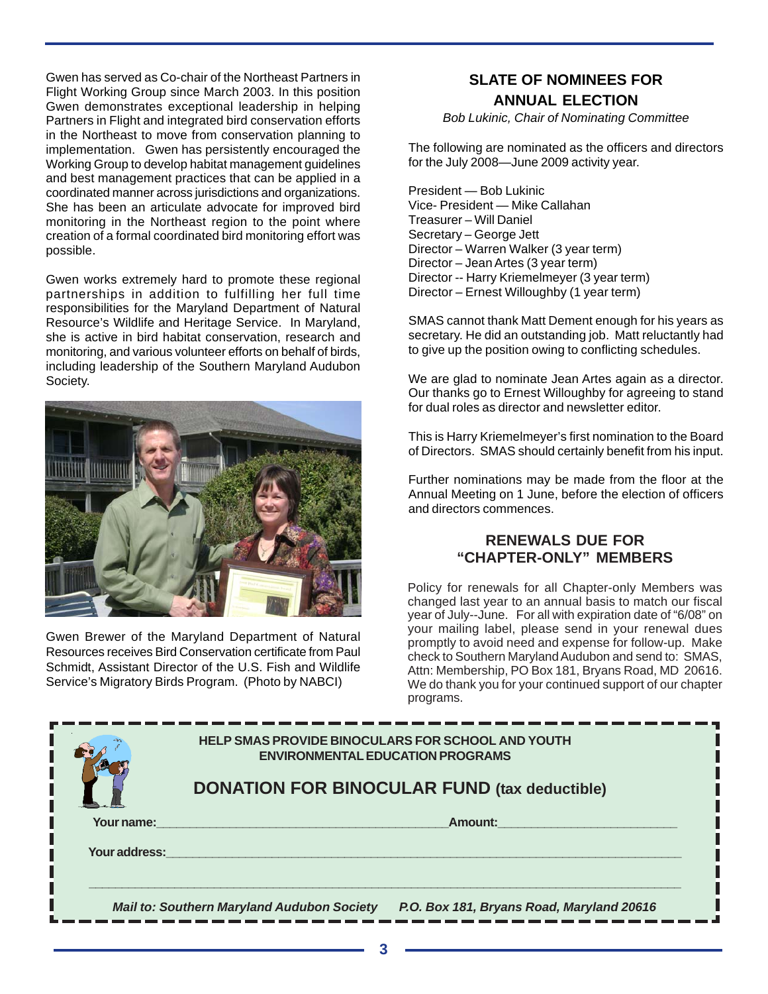Gwen has served as Co-chair of the Northeast Partners in Flight Working Group since March 2003. In this position Gwen demonstrates exceptional leadership in helping Partners in Flight and integrated bird conservation efforts in the Northeast to move from conservation planning to implementation. Gwen has persistently encouraged the Working Group to develop habitat management guidelines and best management practices that can be applied in a coordinated manner across jurisdictions and organizations. She has been an articulate advocate for improved bird monitoring in the Northeast region to the point where creation of a formal coordinated bird monitoring effort was possible.

Gwen works extremely hard to promote these regional partnerships in addition to fulfilling her full time responsibilities for the Maryland Department of Natural Resource's Wildlife and Heritage Service. In Maryland, she is active in bird habitat conservation, research and monitoring, and various volunteer efforts on behalf of birds, including leadership of the Southern Maryland Audubon Society.



Gwen Brewer of the Maryland Department of Natural Resources receives Bird Conservation certificate from Paul Schmidt, Assistant Director of the U.S. Fish and Wildlife Service's Migratory Birds Program. (Photo by NABCI)

#### **SLATE OF NOMINEES FOR ANNUAL ELECTION**

*Bob Lukinic, Chair of Nominating Committee*

The following are nominated as the officers and directors for the July 2008—June 2009 activity year.

President — Bob Lukinic Vice- President — Mike Callahan Treasurer – Will Daniel Secretary – George Jett Director – Warren Walker (3 year term) Director – Jean Artes (3 year term) Director -- Harry Kriemelmeyer (3 year term) Director – Ernest Willoughby (1 year term)

SMAS cannot thank Matt Dement enough for his years as secretary. He did an outstanding job. Matt reluctantly had to give up the position owing to conflicting schedules.

We are glad to nominate Jean Artes again as a director. Our thanks go to Ernest Willoughby for agreeing to stand for dual roles as director and newsletter editor.

This is Harry Kriemelmeyer's first nomination to the Board of Directors. SMAS should certainly benefit from his input.

Further nominations may be made from the floor at the Annual Meeting on 1 June, before the election of officers and directors commences.

#### **RENEWALS DUE FOR "CHAPTER-ONLY" MEMBERS**

Policy for renewals for all Chapter-only Members was changed last year to an annual basis to match our fiscal year of July--June. For all with expiration date of "6/08" on your mailing label, please send in your renewal dues promptly to avoid need and expense for follow-up. Make check to Southern Maryland Audubon and send to: SMAS, Attn: Membership, PO Box 181, Bryans Road, MD 20616. We do thank you for your continued support of our chapter programs.

|                                                                                                | <b>HELP SMAS PROVIDE BINOCULARS FOR SCHOOL AND YOUTH</b><br><b>ENVIRONMENTAL EDUCATION PROGRAMS</b> |  |  |  |  |
|------------------------------------------------------------------------------------------------|-----------------------------------------------------------------------------------------------------|--|--|--|--|
|                                                                                                | <b>DONATION FOR BINOCULAR FUND (tax deductible)</b>                                                 |  |  |  |  |
| Your name:                                                                                     | Amount:                                                                                             |  |  |  |  |
| Your address:                                                                                  |                                                                                                     |  |  |  |  |
| P.O. Box 181, Bryans Road, Maryland 20616<br><b>Mail to: Southern Maryland Audubon Society</b> |                                                                                                     |  |  |  |  |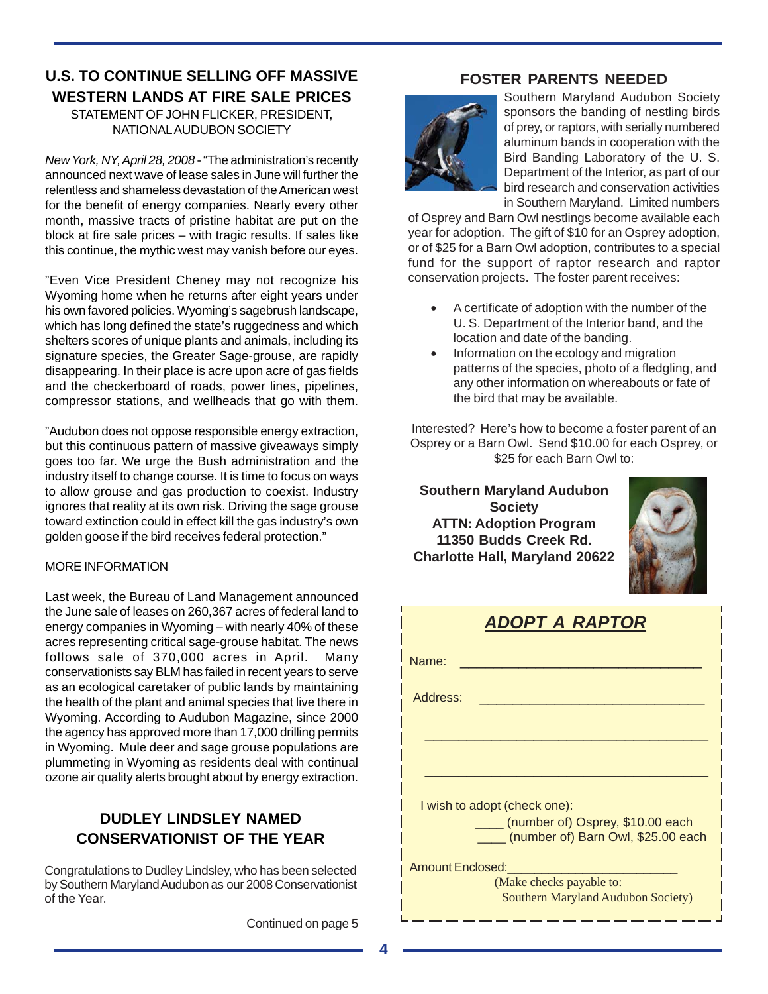# **U.S. TO CONTINUE SELLING OFF MASSIVE WESTERN LANDS AT FIRE SALE PRICES**

STATEMENT OF JOHN FLICKER, PRESIDENT, NATIONAL AUDUBON SOCIETY

*New York, NY, April 28, 2008* - "The administration's recently announced next wave of lease sales in June will further the relentless and shameless devastation of the American west for the benefit of energy companies. Nearly every other month, massive tracts of pristine habitat are put on the block at fire sale prices – with tragic results. If sales like this continue, the mythic west may vanish before our eyes.

"Even Vice President Cheney may not recognize his Wyoming home when he returns after eight years under his own favored policies. Wyoming's sagebrush landscape, which has long defined the state's ruggedness and which shelters scores of unique plants and animals, including its signature species, the Greater Sage-grouse, are rapidly disappearing. In their place is acre upon acre of gas fields and the checkerboard of roads, power lines, pipelines, compressor stations, and wellheads that go with them.

"Audubon does not oppose responsible energy extraction, but this continuous pattern of massive giveaways simply goes too far. We urge the Bush administration and the industry itself to change course. It is time to focus on ways to allow grouse and gas production to coexist. Industry ignores that reality at its own risk. Driving the sage grouse toward extinction could in effect kill the gas industry's own golden goose if the bird receives federal protection."

#### MORE INFORMATION

Last week, the Bureau of Land Management announced the June sale of leases on 260,367 acres of federal land to energy companies in Wyoming – with nearly 40% of these acres representing critical sage-grouse habitat. The news follows sale of 370,000 acres in April. Many conservationists say BLM has failed in recent years to serve as an ecological caretaker of public lands by maintaining the health of the plant and animal species that live there in Wyoming. According to Audubon Magazine, since 2000 the agency has approved more than 17,000 drilling permits in Wyoming. Mule deer and sage grouse populations are plummeting in Wyoming as residents deal with continual ozone air quality alerts brought about by energy extraction.

# **DUDLEY LINDSLEY NAMED CONSERVATIONIST OF THE YEAR**

Congratulations to Dudley Lindsley, who has been selected by Southern Maryland Audubon as our 2008 Conservationist of the Year.

Continued on page 5

#### **FOSTER PARENTS NEEDED**



Southern Maryland Audubon Society sponsors the banding of nestling birds of prey, or raptors, with serially numbered aluminum bands in cooperation with the Bird Banding Laboratory of the U. S. Department of the Interior, as part of our bird research and conservation activities in Southern Maryland. Limited numbers

of Osprey and Barn Owl nestlings become available each year for adoption. The gift of \$10 for an Osprey adoption, or of \$25 for a Barn Owl adoption, contributes to a special fund for the support of raptor research and raptor conservation projects. The foster parent receives:

- A certificate of adoption with the number of the U. S. Department of the Interior band, and the location and date of the banding.
- Information on the ecology and migration patterns of the species, photo of a fledgling, and any other information on whereabouts or fate of the bird that may be available.

Interested? Here's how to become a foster parent of an Osprey or a Barn Owl. Send \$10.00 for each Osprey, or \$25 for each Barn Owl to:

**Southern Maryland Audubon Society ATTN: Adoption Program 11350 Budds Creek Rd. Charlotte Hall, Maryland 20622**



| <b>ADOPT A RAPTOR</b>                                                  |  |  |  |  |
|------------------------------------------------------------------------|--|--|--|--|
| Name:                                                                  |  |  |  |  |
| Address:                                                               |  |  |  |  |
|                                                                        |  |  |  |  |
|                                                                        |  |  |  |  |
| I wish to adopt (check one):                                           |  |  |  |  |
| (number of) Osprey, \$10.00 each<br>(number of) Barn Owl, \$25.00 each |  |  |  |  |
| <b>Amount Enclosed:</b>                                                |  |  |  |  |
| (Make checks payable to:<br><b>Southern Maryland Audubon Society)</b>  |  |  |  |  |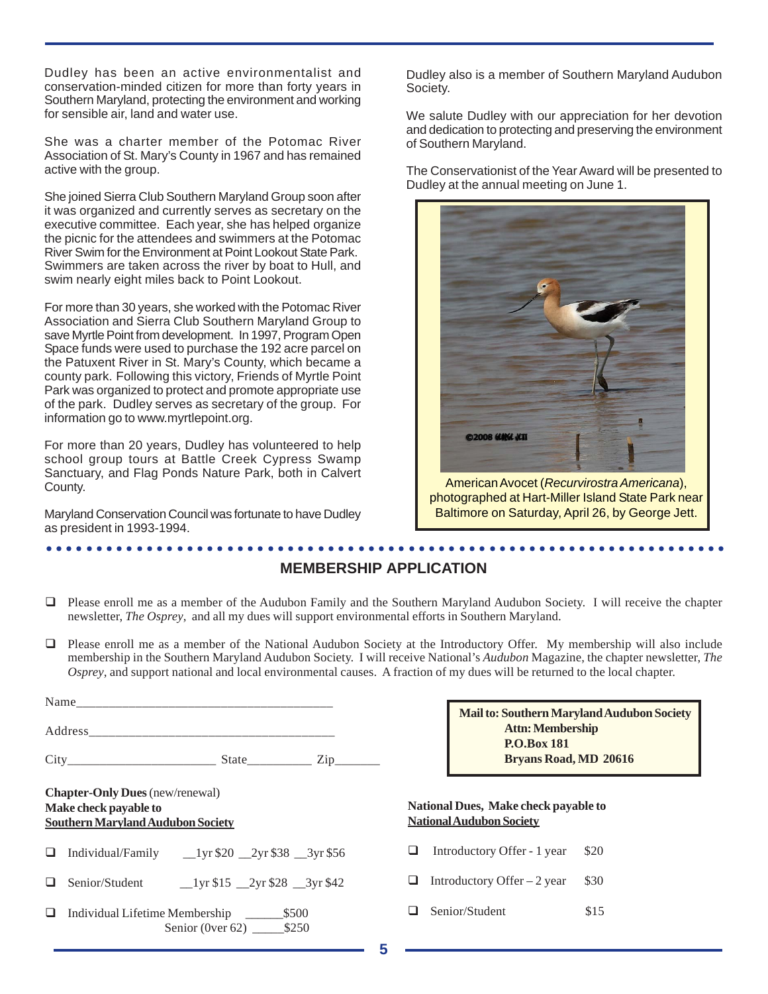Dudley has been an active environmentalist and conservation-minded citizen for more than forty years in Southern Maryland, protecting the environment and working for sensible air, land and water use.

She was a charter member of the Potomac River Association of St. Mary's County in 1967 and has remained active with the group.

She joined Sierra Club Southern Maryland Group soon after it was organized and currently serves as secretary on the executive committee. Each year, she has helped organize the picnic for the attendees and swimmers at the Potomac River Swim for the Environment at Point Lookout State Park. Swimmers are taken across the river by boat to Hull, and swim nearly eight miles back to Point Lookout.

For more than 30 years, she worked with the Potomac River Association and Sierra Club Southern Maryland Group to save Myrtle Point from development. In 1997, Program Open Space funds were used to purchase the 192 acre parcel on the Patuxent River in St. Mary's County, which became a county park. Following this victory, Friends of Myrtle Point Park was organized to protect and promote appropriate use of the park. Dudley serves as secretary of the group. For information go to www.myrtlepoint.org.

For more than 20 years, Dudley has volunteered to help school group tours at Battle Creek Cypress Swamp Sanctuary, and Flag Ponds Nature Park, both in Calvert County.

Maryland Conservation Council was fortunate to have Dudley as president in 1993-1994.

Dudley also is a member of Southern Maryland Audubon Society.

We salute Dudley with our appreciation for her devotion and dedication to protecting and preserving the environment of Southern Maryland.

The Conservationist of the Year Award will be presented to Dudley at the annual meeting on June 1.



American Avocet (*Recurvirostra Americana*), photographed at Hart-Miller Island State Park near Baltimore on Saturday, April 26, by George Jett.

**Maryland Audubon Society** 

#### ○○○○○○○○○○○○○○○○○○○○○○○○○○○○○○○○○○○○○○○○○○○○ ○○○○○○○○○○○○○○○○○○○○○○○○ **MEMBERSHIP APPLICATION**

- Please enroll me as a member of the Audubon Family and the Southern Maryland Audubon Society. I will receive the chapter newsletter, *The Osprey*, and all my dues will support environmental efforts in Southern Maryland.
- Please enroll me as a member of the National Audubon Society at the Introductory Offer. My membership will also include membership in the Southern Maryland Audubon Society. I will receive National's *Audubon* Magazine, the chapter newsletter, *The Osprey*, and support national and local environmental causes. A fraction of my dues will be returned to the local chapter.

|   |                                                                                                             |   | <b>Mail to: Southern Maryland Audul</b><br><b>Attn: Membership</b><br><b>P.O.Box 181</b><br><b>Bryans Road, MD 20616</b> |      |
|---|-------------------------------------------------------------------------------------------------------------|---|--------------------------------------------------------------------------------------------------------------------------|------|
|   | <b>Chapter-Only Dues</b> (new/renewal)<br>Make check payable to<br><b>Southern Maryland Audubon Society</b> |   | National Dues, Make check payable to<br><b>National Audubon Society</b>                                                  |      |
| ப | Individual/Family $_{20}$ $_{2yr}$ \$20 $_{2yr}$ \$38 $_{3yr}$ \$56                                         | ப | Introductory Offer - 1 year                                                                                              | \$20 |
| ப | $1 \text{yr } $15$ $2 \text{yr } $28$ $3 \text{yr } $42$<br>Senior/Student                                  | ⊔ | Introductory Offer $-2$ year                                                                                             | \$30 |
| ப | Senior (0ver 62) $$250$                                                                                     |   | Senior/Student                                                                                                           | \$15 |